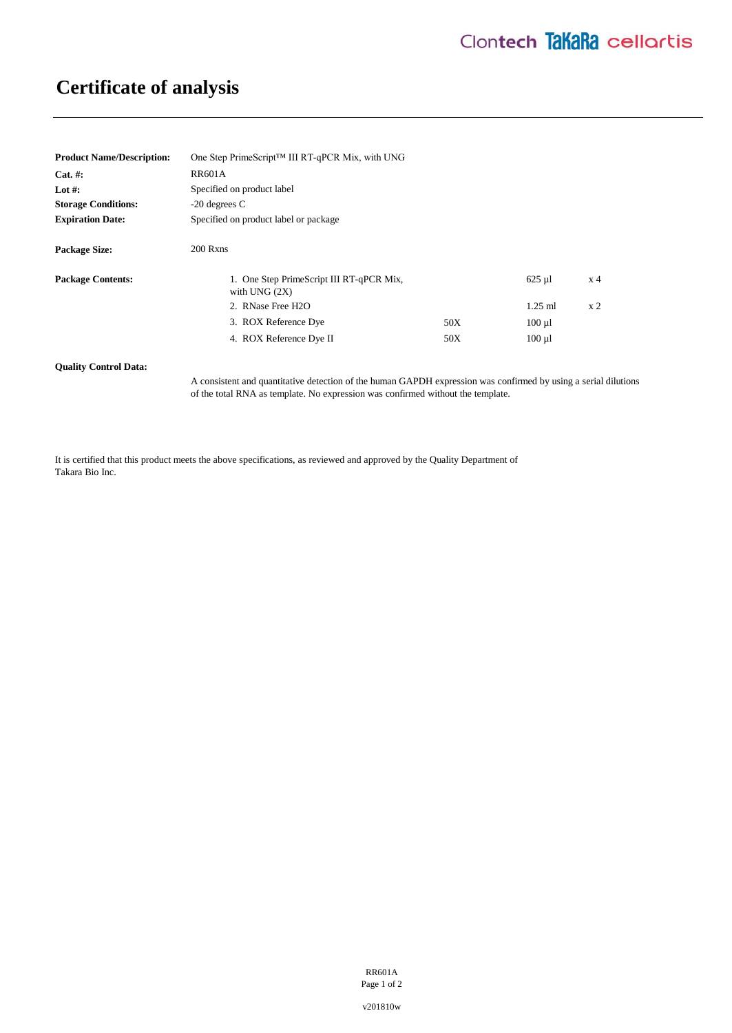## **Certificate of analysis**

| <b>Product Name/Description:</b> | One Step PrimeScript <sup>™</sup> III RT-qPCR Mix, with UNG |     |             |                |
|----------------------------------|-------------------------------------------------------------|-----|-------------|----------------|
| $Cat. \#:$                       | <b>RR601A</b>                                               |     |             |                |
| Lot #:                           | Specified on product label                                  |     |             |                |
| <b>Storage Conditions:</b>       | $-20$ degrees C                                             |     |             |                |
| <b>Expiration Date:</b>          | Specified on product label or package                       |     |             |                |
| <b>Package Size:</b>             | $200$ Rxns                                                  |     |             |                |
| <b>Package Contents:</b>         | 1. One Step PrimeScript III RT-qPCR Mix,<br>with UNG $(2X)$ |     | $625 \mu$   | x <sub>4</sub> |
|                                  | 2. RNase Free H2O                                           |     | $1.25$ ml   | x <sub>2</sub> |
|                                  | 3. ROX Reference Dye                                        | 50X | $100 \mu l$ |                |
|                                  | 4. ROX Reference Dye II                                     | 50X | $100 \mu l$ |                |

**Quality Control Data:** 

A consistent and quantitative detection of the human GAPDH expression was confirmed by using a serial dilutions of the total RNA as template. No expression was confirmed without the template.

It is certified that this product meets the above specifications, as reviewed and approved by the Quality Department of Takara Bio Inc.

> RR601A Page 1 of 2

v201810w